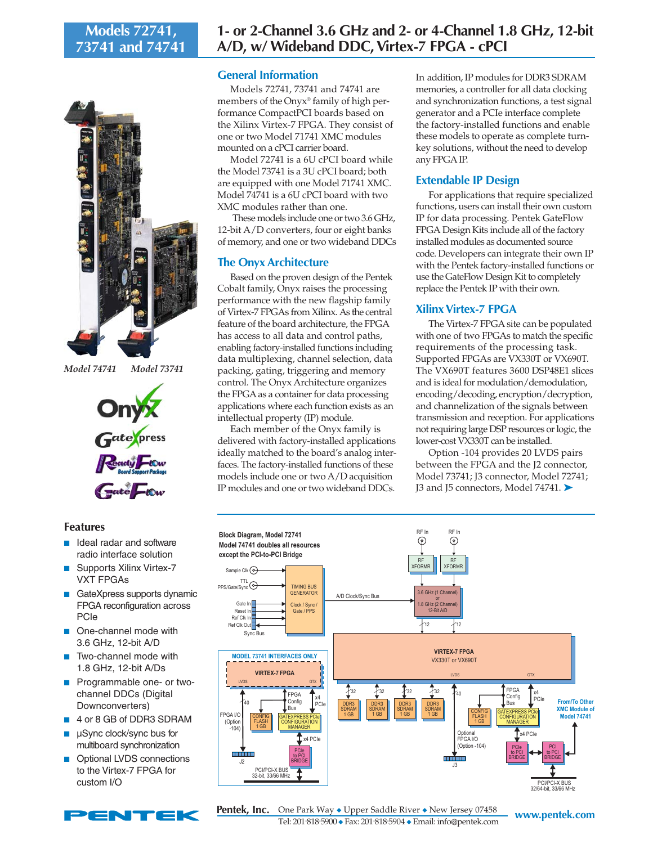# **Models 72741, 73741 and 74741**



*Model 74741 Model 73741*



#### **Features**

- Ideal radar and software radio interface solution
- Supports Xilinx Virtex-7 VXT FPGAs
- GateXpress supports dynamic FPGA reconfiguration across PCIe
- One-channel mode with 3.6 GHz, 12-bit A/D
- Two-channel mode with 1.8 GHz, 12-bit A/Ds
- Programmable one- or twochannel DDCs (Digital Downconverters)
- 4 or 8 GB of DDR3 SDRAM
- µSync clock/sync bus for multiboard synchronization
- Optional LVDS connections to the Virtex-7 FPGA for custom I/O

# **General Information**

Models 72741, 73741 and 74741 are members of the Onyx® family of high performance CompactPCI boards based on the Xilinx Virtex-7 FPGA. They consist of one or two Model 71741 XMC modules mounted on a cPCI carrier board.

Model 72741 is a 6U cPCI board while the Model 73741 is a 3U cPCI board; both are equipped with one Model 71741 XMC. Model 74741 is a 6U cPCI board with two XMC modules rather than one.

 These models include one or two 3.6 GHz, 12-bit A/D converters, four or eight banks of memory, and one or two wideband DDCs

### **The Onyx Architecture**

Based on the proven design of the Pentek Cobalt family, Onyx raises the processing performance with the new flagship family of Virtex-7 FPGAs from Xilinx. As the central feature of the board architecture, the FPGA has access to all data and control paths, enabling factory-installed functions including data multiplexing, channel selection, data packing, gating, triggering and memory control. The Onyx Architecture organizes the FPGA as a container for data processing applications where each function exists as an intellectual property (IP) module.

Each member of the Onyx family is delivered with factory-installed applications ideally matched to the board's analog interfaces. The factory-installed functions of these models include one or two A/D acquisition IP modules and one or two wideband DDCs.

In addition, IP modules for DDR3 SDRAM memories, a controller for all data clocking and synchronization functions, a test signal generator and a PCIe interface complete the factory-installed functions and enable these models to operate as complete turnkey solutions, without the need to develop any FPGA IP.

# **Extendable IP Design**

For applications that require specialized functions, users can install their own custom IP for data processing. Pentek GateFlow FPGA Design Kits include all of the factory installed modules as documented source code. Developers can integrate their own IP with the Pentek factory-installed functions or use the GateFlow Design Kit to completely replace the Pentek IP with their own.

# **Xilinx Virtex-7 FPGA**

The Virtex-7 FPGA site can be populated with one of two FPGAs to match the specific requirements of the processing task. Supported FPGAs are VX330T or VX690T. The VX690T features 3600 DSP48E1 slices and is ideal for modulation/demodulation, encoding/decoding, encryption/decryption, and channelization of the signals between transmission and reception. For applications not requiring large DSP resources or logic, the lower-cost VX330T can be installed.

Option -104 provides 20 LVDS pairs between the FPGA and the J2 connector, Model 73741; J3 connector, Model 72741; J3 and J5 connectors, Model 74741. ➤



**www.pentek.com** One Park Way ◆ Upper Saddle River ◆ New Jersey 07458 Tel: 201. 818. 5900 ◆ Fax: 201. 818. 5904 ◆ Email: info@pentek.com **Pentek, Inc.**

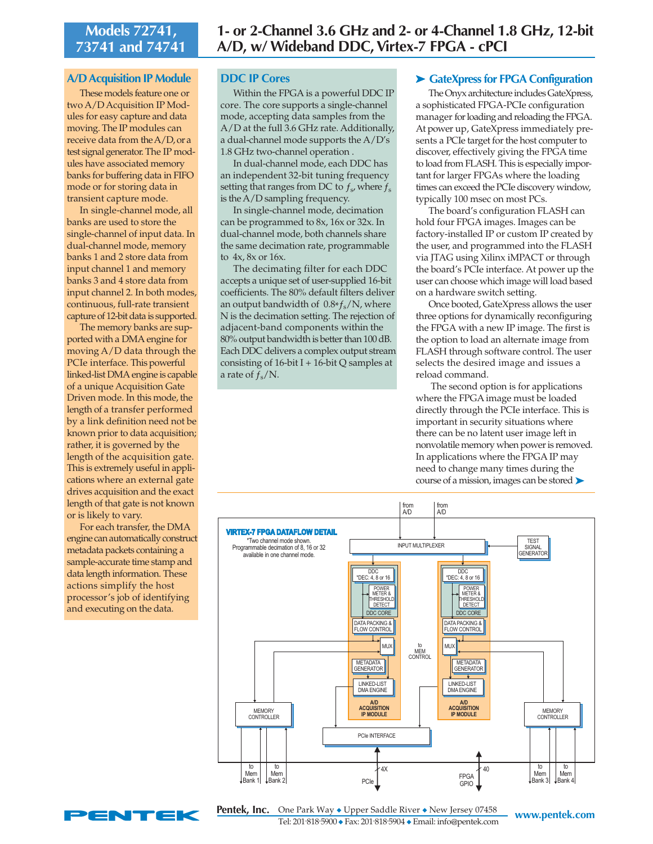# **Models 72741, 73741 and 74741**

#### **A/D Acquisition IP Module**

These models feature one or two A/D Acquisition IP Modules for easy capture and data moving. The IP modules can receive data from the A/D, or a test signal generator. The IP modules have associated memory banks for buffering data in FIFO mode or for storing data in transient capture mode.

In single-channel mode, all banks are used to store the single-channel of input data. In dual-channel mode, memory banks 1 and 2 store data from input channel 1 and memory banks 3 and 4 store data from input channel 2. In both modes, continuous, full-rate transient capture of 12-bit data is supported.

The memory banks are supported with a DMA engine for moving A/D data through the PCIe interface. This powerful linked-list DMA engine is capable of a unique Acquisition Gate Driven mode. In this mode, the length of a transfer performed by a link definition need not be known prior to data acquisition; rather, it is governed by the length of the acquisition gate. This is extremely useful in applications where an external gate drives acquisition and the exact length of that gate is not known or is likely to vary.

For each transfer, the DMA engine can automatically construct metadata packets containing a sample-accurate time stamp and data length information. These actions simplify the host processor's job of identifying and executing on the data.

#### **DDC IP Cores**

Within the FPGA is a powerful DDC IP core. The core supports a single-channel mode, accepting data samples from the A/D at the full 3.6 GHz rate. Additionally, a dual-channel mode supports the A/D's 1.8 GHz two-channel operation .

In dual-channel mode, each DDC has an independent 32-bit tuning frequency setting that ranges from DC to  $f_s$ , where  $f_s$ is the A/D sampling frequency.

In single-channel mode, decimation can be programmed to 8x, 16x or 32x. In dual-channel mode, both channels share the same decimation rate, programmable to 4x, 8x or 16x.

The decimating filter for each DDC accepts a unique set of user-supplied 16-bit coefficients. The 80% default filters deliver an output bandwidth of  $0.8*f_s/N$ , where N is the decimation setting. The rejection of adjacent-band components within the 80% output bandwidth is better than 100 dB. Each DDC delivers a complex output stream consisting of  $16$ -bit I +  $16$ -bit Q samples at a rate of  $f_s/N$ .

#### ➤ **GateXpress for FPGA Configuration**

The Onyx architecture includes GateXpress, a sophisticated FPGA-PCIe configuration manager for loading and reloading the FPGA. At power up, GateXpress immediately presents a PCIe target for the host computer to discover, effectively giving the FPGA time to load from FLASH. This is especially important for larger FPGAs where the loading times can exceed the PCIe discovery window, typically 100 msec on most PCs.

The board's configuration FLASH can hold four FPGA images. Images can be factory-installed IP or custom IP created by the user, and programmed into the FLASH via JTAG using Xilinx iMPACT or through the board's PCIe interface. At power up the user can choose which image will load based on a hardware switch setting.

Once booted, GateXpress allows the user three options for dynamically reconfiguring the FPGA with a new IP image. The first is the option to load an alternate image from FLASH through software control. The user selects the desired image and issues a reload command.

 The second option is for applications where the FPGA image must be loaded directly through the PCIe interface. This is important in security situations where there can be no latent user image left in nonvolatile memory when power is removed. In applications where the FPGA IP may need to change many times during the course of a mission, images can be stored ▶





**www.pentek.com** One Park Way ◆ Upper Saddle River ◆ New Jersey 07458 Tel: 201. 818. 5900 ◆ Fax: 201. 818. 5904 ◆ Email: info@pentek.com **Pentek, Inc.**